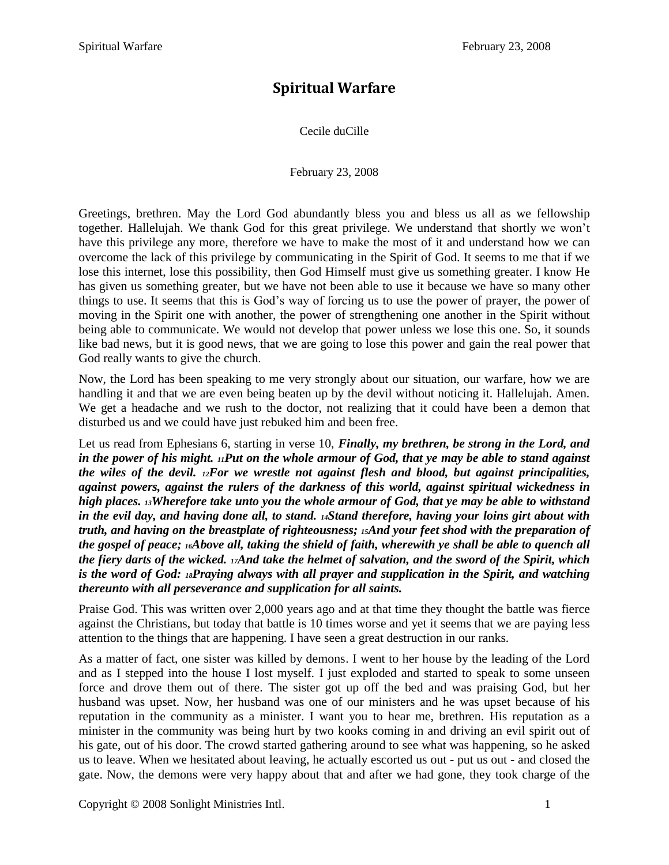## **Spiritual Warfare**

Cecile duCille

February 23, 2008

Greetings, brethren. May the Lord God abundantly bless you and bless us all as we fellowship together. Hallelujah. We thank God for this great privilege. We understand that shortly we won't have this privilege any more, therefore we have to make the most of it and understand how we can overcome the lack of this privilege by communicating in the Spirit of God. It seems to me that if we lose this internet, lose this possibility, then God Himself must give us something greater. I know He has given us something greater, but we have not been able to use it because we have so many other things to use. It seems that this is God's way of forcing us to use the power of prayer, the power of moving in the Spirit one with another, the power of strengthening one another in the Spirit without being able to communicate. We would not develop that power unless we lose this one. So, it sounds like bad news, but it is good news, that we are going to lose this power and gain the real power that God really wants to give the church.

Now, the Lord has been speaking to me very strongly about our situation, our warfare, how we are handling it and that we are even being beaten up by the devil without noticing it. Hallelujah. Amen. We get a headache and we rush to the doctor, not realizing that it could have been a demon that disturbed us and we could have just rebuked him and been free.

Let us read from Ephesians 6, starting in verse 10, *Finally, my brethren, be strong in the Lord, and in the power of his might. 11Put on the whole armour of God, that ye may be able to stand against the wiles of the devil. 12For we wrestle not against flesh and blood, but against principalities, against powers, against the rulers of the darkness of this world, against spiritual wickedness in high places. 13Wherefore take unto you the whole armour of God, that ye may be able to withstand in the evil day, and having done all, to stand. 14Stand therefore, having your loins girt about with truth, and having on the breastplate of righteousness; 15And your feet shod with the preparation of the gospel of peace; 16Above all, taking the shield of faith, wherewith ye shall be able to quench all the fiery darts of the wicked. 17And take the helmet of salvation, and the sword of the Spirit, which is the word of God: 18Praying always with all prayer and supplication in the Spirit, and watching thereunto with all perseverance and supplication for all saints.*

Praise God. This was written over 2,000 years ago and at that time they thought the battle was fierce against the Christians, but today that battle is 10 times worse and yet it seems that we are paying less attention to the things that are happening. I have seen a great destruction in our ranks.

As a matter of fact, one sister was killed by demons. I went to her house by the leading of the Lord and as I stepped into the house I lost myself. I just exploded and started to speak to some unseen force and drove them out of there. The sister got up off the bed and was praising God, but her husband was upset. Now, her husband was one of our ministers and he was upset because of his reputation in the community as a minister. I want you to hear me, brethren. His reputation as a minister in the community was being hurt by two kooks coming in and driving an evil spirit out of his gate, out of his door. The crowd started gathering around to see what was happening, so he asked us to leave. When we hesitated about leaving, he actually escorted us out - put us out - and closed the gate. Now, the demons were very happy about that and after we had gone, they took charge of the

Copyright © 2008 Sonlight Ministries Intl. 1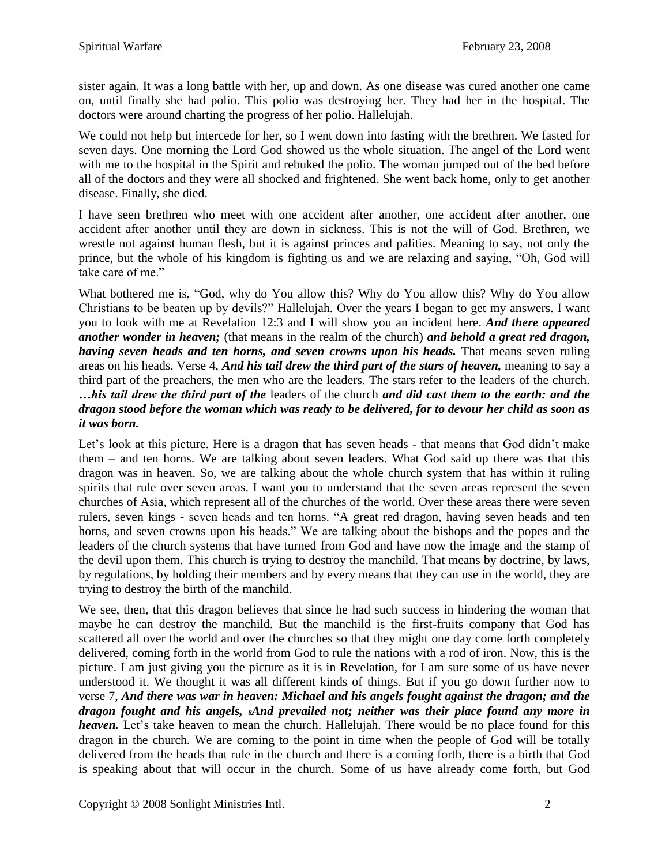sister again. It was a long battle with her, up and down. As one disease was cured another one came on, until finally she had polio. This polio was destroying her. They had her in the hospital. The doctors were around charting the progress of her polio. Hallelujah.

We could not help but intercede for her, so I went down into fasting with the brethren. We fasted for seven days. One morning the Lord God showed us the whole situation. The angel of the Lord went with me to the hospital in the Spirit and rebuked the polio. The woman jumped out of the bed before all of the doctors and they were all shocked and frightened. She went back home, only to get another disease. Finally, she died.

I have seen brethren who meet with one accident after another, one accident after another, one accident after another until they are down in sickness. This is not the will of God. Brethren, we wrestle not against human flesh, but it is against princes and palities. Meaning to say, not only the prince, but the whole of his kingdom is fighting us and we are relaxing and saying, "Oh, God will take care of me."

What bothered me is, "God, why do You allow this? Why do You allow this? Why do You allow Christians to be beaten up by devils?" Hallelujah. Over the years I began to get my answers. I want you to look with me at Revelation 12:3 and I will show you an incident here. *And there appeared another wonder in heaven;* (that means in the realm of the church) *and behold a great red dragon, having seven heads and ten horns, and seven crowns upon his heads.* That means seven ruling areas on his heads. Verse 4, *And his tail drew the third part of the stars of heaven,* meaning to say a third part of the preachers, the men who are the leaders. The stars refer to the leaders of the church. *…his tail drew the third part of the* leaders of the church *and did cast them to the earth: and the dragon stood before the woman which was ready to be delivered, for to devour her child as soon as it was born.*

Let's look at this picture. Here is a dragon that has seven heads - that means that God didn't make them – and ten horns. We are talking about seven leaders. What God said up there was that this dragon was in heaven. So, we are talking about the whole church system that has within it ruling spirits that rule over seven areas. I want you to understand that the seven areas represent the seven churches of Asia, which represent all of the churches of the world. Over these areas there were seven rulers, seven kings - seven heads and ten horns. "A great red dragon, having seven heads and ten horns, and seven crowns upon his heads." We are talking about the bishops and the popes and the leaders of the church systems that have turned from God and have now the image and the stamp of the devil upon them. This church is trying to destroy the manchild. That means by doctrine, by laws, by regulations, by holding their members and by every means that they can use in the world, they are trying to destroy the birth of the manchild.

We see, then, that this dragon believes that since he had such success in hindering the woman that maybe he can destroy the manchild. But the manchild is the first-fruits company that God has scattered all over the world and over the churches so that they might one day come forth completely delivered, coming forth in the world from God to rule the nations with a rod of iron. Now, this is the picture. I am just giving you the picture as it is in Revelation, for I am sure some of us have never understood it. We thought it was all different kinds of things. But if you go down further now to verse 7, *And there was war in heaven: Michael and his angels fought against the dragon; and the dragon fought and his angels, 8And prevailed not; neither was their place found any more in heaven*. Let's take heaven to mean the church. Hallelujah. There would be no place found for this dragon in the church. We are coming to the point in time when the people of God will be totally delivered from the heads that rule in the church and there is a coming forth, there is a birth that God is speaking about that will occur in the church. Some of us have already come forth, but God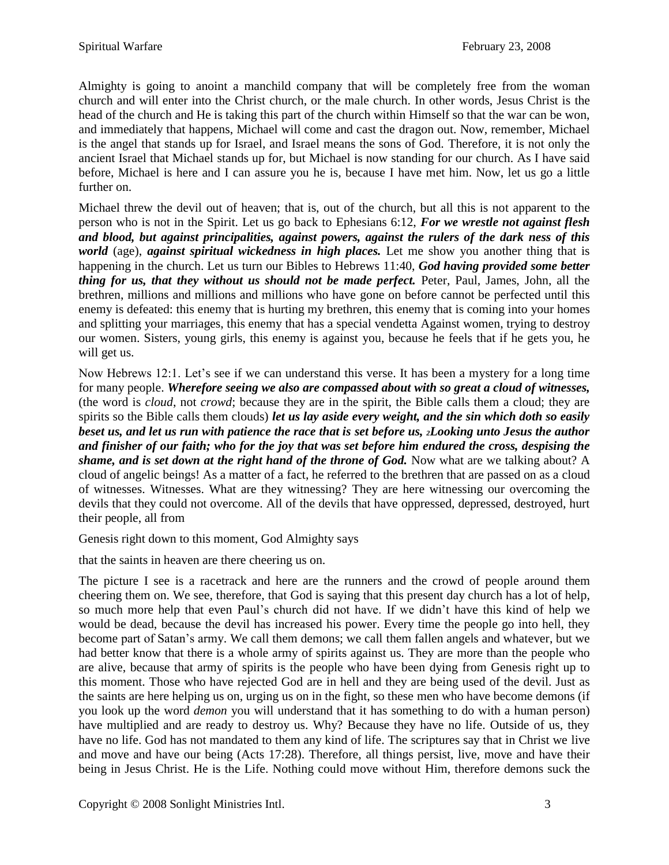Almighty is going to anoint a manchild company that will be completely free from the woman church and will enter into the Christ church, or the male church. In other words, Jesus Christ is the head of the church and He is taking this part of the church within Himself so that the war can be won, and immediately that happens, Michael will come and cast the dragon out. Now, remember, Michael is the angel that stands up for Israel, and Israel means the sons of God. Therefore, it is not only the ancient Israel that Michael stands up for, but Michael is now standing for our church. As I have said before, Michael is here and I can assure you he is, because I have met him. Now, let us go a little further on.

Michael threw the devil out of heaven; that is, out of the church, but all this is not apparent to the person who is not in the Spirit. Let us go back to Ephesians 6:12, *For we wrestle not against flesh and blood, but against principalities, against powers, against the rulers of the dark ness of this world* (age), *against spiritual wickedness in high places.* Let me show you another thing that is happening in the church. Let us turn our Bibles to Hebrews 11:40, *God having provided some better thing for us, that they without us should not be made perfect.* Peter, Paul, James, John, all the brethren, millions and millions and millions who have gone on before cannot be perfected until this enemy is defeated: this enemy that is hurting my brethren, this enemy that is coming into your homes and splitting your marriages, this enemy that has a special vendetta Against women, trying to destroy our women. Sisters, young girls, this enemy is against you, because he feels that if he gets you, he will get us.

Now Hebrews 12:1. Let's see if we can understand this verse. It has been a mystery for a long time for many people. *Wherefore seeing we also are compassed about with so great a cloud of witnesses,*  (the word is *cloud*, not *crowd*; because they are in the spirit, the Bible calls them a cloud; they are spirits so the Bible calls them clouds) *let us lay aside every weight, and the sin which doth so easily beset us, and let us run with patience the race that is set before us, 2Looking unto Jesus the author and finisher of our faith; who for the joy that was set before him endured the cross, despising the shame, and is set down at the right hand of the throne of God.* Now what are we talking about? A cloud of angelic beings! As a matter of a fact, he referred to the brethren that are passed on as a cloud of witnesses. Witnesses. What are they witnessing? They are here witnessing our overcoming the devils that they could not overcome. All of the devils that have oppressed, depressed, destroyed, hurt their people, all from

Genesis right down to this moment, God Almighty says

that the saints in heaven are there cheering us on.

The picture I see is a racetrack and here are the runners and the crowd of people around them cheering them on. We see, therefore, that God is saying that this present day church has a lot of help, so much more help that even Paul's church did not have. If we didn't have this kind of help we would be dead, because the devil has increased his power. Every time the people go into hell, they become part of Satan's army. We call them demons; we call them fallen angels and whatever, but we had better know that there is a whole army of spirits against us. They are more than the people who are alive, because that army of spirits is the people who have been dying from Genesis right up to this moment. Those who have rejected God are in hell and they are being used of the devil. Just as the saints are here helping us on, urging us on in the fight, so these men who have become demons (if you look up the word *demon* you will understand that it has something to do with a human person) have multiplied and are ready to destroy us. Why? Because they have no life. Outside of us, they have no life. God has not mandated to them any kind of life. The scriptures say that in Christ we live and move and have our being (Acts 17:28). Therefore, all things persist, live, move and have their being in Jesus Christ. He is the Life. Nothing could move without Him, therefore demons suck the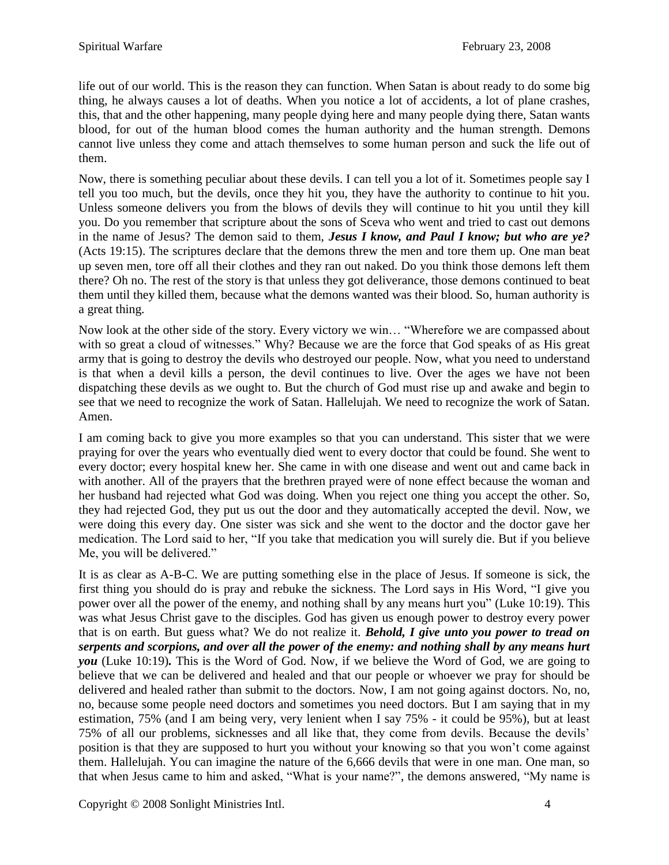life out of our world. This is the reason they can function. When Satan is about ready to do some big thing, he always causes a lot of deaths. When you notice a lot of accidents, a lot of plane crashes, this, that and the other happening, many people dying here and many people dying there, Satan wants blood, for out of the human blood comes the human authority and the human strength. Demons cannot live unless they come and attach themselves to some human person and suck the life out of them.

Now, there is something peculiar about these devils. I can tell you a lot of it. Sometimes people say I tell you too much, but the devils, once they hit you, they have the authority to continue to hit you. Unless someone delivers you from the blows of devils they will continue to hit you until they kill you. Do you remember that scripture about the sons of Sceva who went and tried to cast out demons in the name of Jesus? The demon said to them, *Jesus I know, and Paul I know; but who are ye?*  (Acts 19:15). The scriptures declare that the demons threw the men and tore them up. One man beat up seven men, tore off all their clothes and they ran out naked. Do you think those demons left them there? Oh no. The rest of the story is that unless they got deliverance, those demons continued to beat them until they killed them, because what the demons wanted was their blood. So, human authority is a great thing.

Now look at the other side of the story. Every victory we win… "Wherefore we are compassed about with so great a cloud of witnesses." Why? Because we are the force that God speaks of as His great army that is going to destroy the devils who destroyed our people. Now, what you need to understand is that when a devil kills a person, the devil continues to live. Over the ages we have not been dispatching these devils as we ought to. But the church of God must rise up and awake and begin to see that we need to recognize the work of Satan. Hallelujah. We need to recognize the work of Satan. Amen.

I am coming back to give you more examples so that you can understand. This sister that we were praying for over the years who eventually died went to every doctor that could be found. She went to every doctor; every hospital knew her. She came in with one disease and went out and came back in with another. All of the prayers that the brethren prayed were of none effect because the woman and her husband had rejected what God was doing. When you reject one thing you accept the other. So, they had rejected God, they put us out the door and they automatically accepted the devil. Now, we were doing this every day. One sister was sick and she went to the doctor and the doctor gave her medication. The Lord said to her, "If you take that medication you will surely die. But if you believe Me, you will be delivered."

It is as clear as A-B-C. We are putting something else in the place of Jesus. If someone is sick, the first thing you should do is pray and rebuke the sickness. The Lord says in His Word, "I give you power over all the power of the enemy, and nothing shall by any means hurt you" (Luke 10:19). This was what Jesus Christ gave to the disciples. God has given us enough power to destroy every power that is on earth. But guess what? We do not realize it. *Behold, I give unto you power to tread on serpents and scorpions, and over all the power of the enemy: and nothing shall by any means hurt you* (Luke 10:19)*.* This is the Word of God. Now, if we believe the Word of God, we are going to believe that we can be delivered and healed and that our people or whoever we pray for should be delivered and healed rather than submit to the doctors. Now, I am not going against doctors. No, no, no, because some people need doctors and sometimes you need doctors. But I am saying that in my estimation, 75% (and I am being very, very lenient when I say 75% - it could be 95%), but at least 75% of all our problems, sicknesses and all like that, they come from devils. Because the devils' position is that they are supposed to hurt you without your knowing so that you won't come against them. Hallelujah. You can imagine the nature of the 6,666 devils that were in one man. One man, so that when Jesus came to him and asked, "What is your name?", the demons answered, "My name is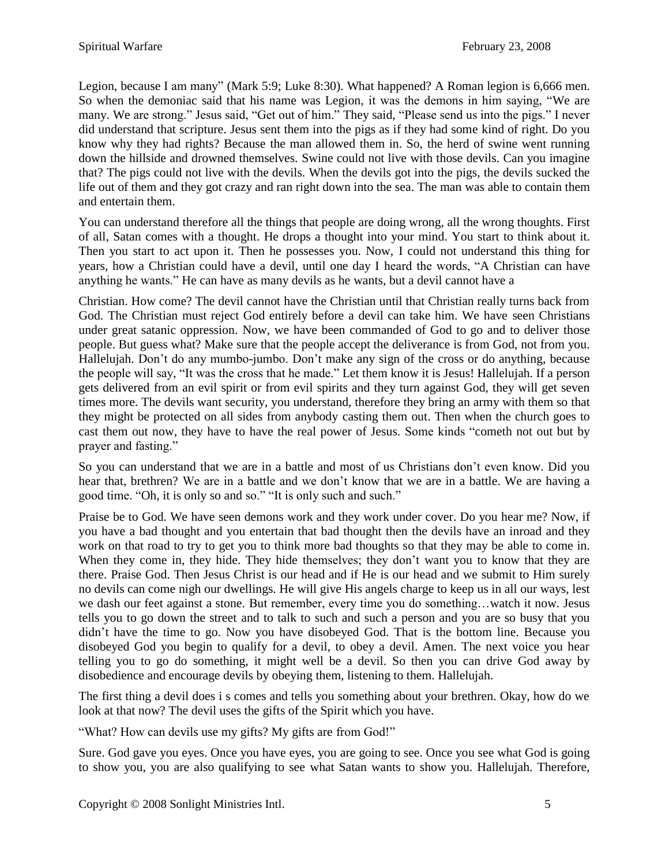Legion, because I am many" (Mark 5:9; Luke 8:30). What happened? A Roman legion is 6,666 men. So when the demoniac said that his name was Legion, it was the demons in him saying, "We are many. We are strong." Jesus said, "Get out of him." They said, "Please send us into the pigs." I never did understand that scripture. Jesus sent them into the pigs as if they had some kind of right. Do you know why they had rights? Because the man allowed them in. So, the herd of swine went running down the hillside and drowned themselves. Swine could not live with those devils. Can you imagine that? The pigs could not live with the devils. When the devils got into the pigs, the devils sucked the life out of them and they got crazy and ran right down into the sea. The man was able to contain them and entertain them.

You can understand therefore all the things that people are doing wrong, all the wrong thoughts. First of all, Satan comes with a thought. He drops a thought into your mind. You start to think about it. Then you start to act upon it. Then he possesses you. Now, I could not understand this thing for years, how a Christian could have a devil, until one day I heard the words, "A Christian can have anything he wants." He can have as many devils as he wants, but a devil cannot have a

Christian. How come? The devil cannot have the Christian until that Christian really turns back from God. The Christian must reject God entirely before a devil can take him. We have seen Christians under great satanic oppression. Now, we have been commanded of God to go and to deliver those people. But guess what? Make sure that the people accept the deliverance is from God, not from you. Hallelujah. Don't do any mumbo-jumbo. Don't make any sign of the cross or do anything, because the people will say, "It was the cross that he made." Let them know it is Jesus! Hallelujah. If a person gets delivered from an evil spirit or from evil spirits and they turn against God, they will get seven times more. The devils want security, you understand, therefore they bring an army with them so that they might be protected on all sides from anybody casting them out. Then when the church goes to cast them out now, they have to have the real power of Jesus. Some kinds "cometh not out but by prayer and fasting."

So you can understand that we are in a battle and most of us Christians don't even know. Did you hear that, brethren? We are in a battle and we don't know that we are in a battle. We are having a good time. "Oh, it is only so and so." "It is only such and such."

Praise be to God. We have seen demons work and they work under cover. Do you hear me? Now, if you have a bad thought and you entertain that bad thought then the devils have an inroad and they work on that road to try to get you to think more bad thoughts so that they may be able to come in. When they come in, they hide. They hide themselves; they don't want you to know that they are there. Praise God. Then Jesus Christ is our head and if He is our head and we submit to Him surely no devils can come nigh our dwellings. He will give His angels charge to keep us in all our ways, lest we dash our feet against a stone. But remember, every time you do something…watch it now. Jesus tells you to go down the street and to talk to such and such a person and you are so busy that you didn't have the time to go. Now you have disobeyed God. That is the bottom line. Because you disobeyed God you begin to qualify for a devil, to obey a devil. Amen. The next voice you hear telling you to go do something, it might well be a devil. So then you can drive God away by disobedience and encourage devils by obeying them, listening to them. Hallelujah.

The first thing a devil does i s comes and tells you something about your brethren. Okay, how do we look at that now? The devil uses the gifts of the Spirit which you have.

"What? How can devils use my gifts? My gifts are from God!"

Sure. God gave you eyes. Once you have eyes, you are going to see. Once you see what God is going to show you, you are also qualifying to see what Satan wants to show you. Hallelujah. Therefore,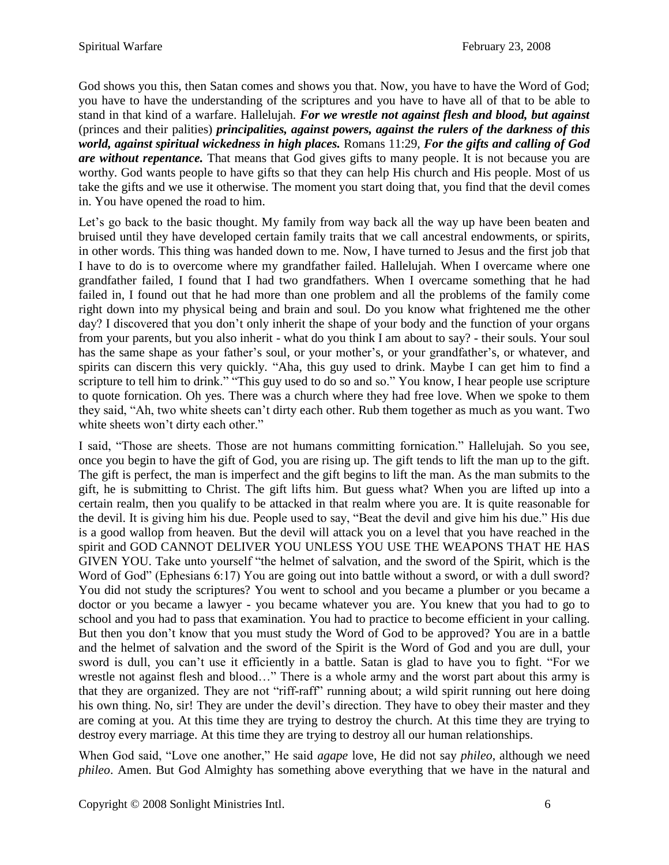God shows you this, then Satan comes and shows you that. Now, you have to have the Word of God; you have to have the understanding of the scriptures and you have to have all of that to be able to stand in that kind of a warfare. Hallelujah. *For we wrestle not against flesh and blood, but against*  (princes and their palities) *principalities, against powers, against the rulers of the darkness of this world, against spiritual wickedness in high places.* Romans 11:29, *For the gifts and calling of God are without repentance.* That means that God gives gifts to many people. It is not because you are worthy. God wants people to have gifts so that they can help His church and His people. Most of us take the gifts and we use it otherwise. The moment you start doing that, you find that the devil comes in. You have opened the road to him.

Let's go back to the basic thought. My family from way back all the way up have been beaten and bruised until they have developed certain family traits that we call ancestral endowments, or spirits, in other words. This thing was handed down to me. Now, I have turned to Jesus and the first job that I have to do is to overcome where my grandfather failed. Hallelujah. When I overcame where one grandfather failed, I found that I had two grandfathers. When I overcame something that he had failed in, I found out that he had more than one problem and all the problems of the family come right down into my physical being and brain and soul. Do you know what frightened me the other day? I discovered that you don't only inherit the shape of your body and the function of your organs from your parents, but you also inherit - what do you think I am about to say? - their souls. Your soul has the same shape as your father's soul, or your mother's, or your grandfather's, or whatever, and spirits can discern this very quickly. "Aha, this guy used to drink. Maybe I can get him to find a scripture to tell him to drink." "This guy used to do so and so." You know, I hear people use scripture to quote fornication. Oh yes. There was a church where they had free love. When we spoke to them they said, "Ah, two white sheets can't dirty each other. Rub them together as much as you want. Two white sheets won't dirty each other."

I said, "Those are sheets. Those are not humans committing fornication." Hallelujah. So you see, once you begin to have the gift of God, you are rising up. The gift tends to lift the man up to the gift. The gift is perfect, the man is imperfect and the gift begins to lift the man. As the man submits to the gift, he is submitting to Christ. The gift lifts him. But guess what? When you are lifted up into a certain realm, then you qualify to be attacked in that realm where you are. It is quite reasonable for the devil. It is giving him his due. People used to say, "Beat the devil and give him his due." His due is a good wallop from heaven. But the devil will attack you on a level that you have reached in the spirit and GOD CANNOT DELIVER YOU UNLESS YOU USE THE WEAPONS THAT HE HAS GIVEN YOU. Take unto yourself "the helmet of salvation, and the sword of the Spirit, which is the Word of God" (Ephesians 6:17) You are going out into battle without a sword, or with a dull sword? You did not study the scriptures? You went to school and you became a plumber or you became a doctor or you became a lawyer - you became whatever you are. You knew that you had to go to school and you had to pass that examination. You had to practice to become efficient in your calling. But then you don't know that you must study the Word of God to be approved? You are in a battle and the helmet of salvation and the sword of the Spirit is the Word of God and you are dull, your sword is dull, you can't use it efficiently in a battle. Satan is glad to have you to fight. "For we wrestle not against flesh and blood…" There is a whole army and the worst part about this army is that they are organized. They are not "riff-raff" running about; a wild spirit running out here doing his own thing. No, sir! They are under the devil's direction. They have to obey their master and they are coming at you. At this time they are trying to destroy the church. At this time they are trying to destroy every marriage. At this time they are trying to destroy all our human relationships.

When God said, "Love one another," He said *agape* love, He did not say *phileo*, although we need *phileo*. Amen. But God Almighty has something above everything that we have in the natural and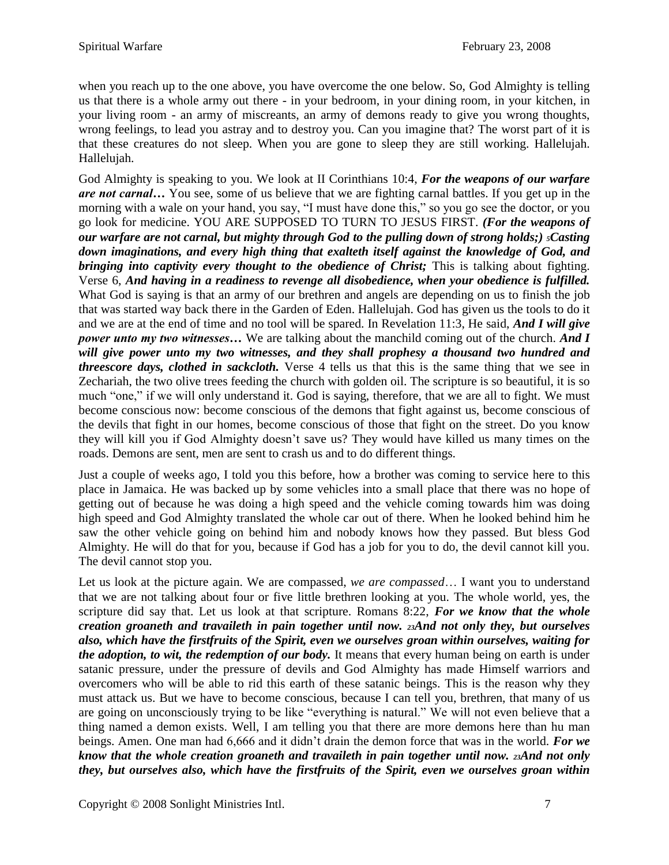when you reach up to the one above, you have overcome the one below. So, God Almighty is telling us that there is a whole army out there - in your bedroom, in your dining room, in your kitchen, in your living room - an army of miscreants, an army of demons ready to give you wrong thoughts, wrong feelings, to lead you astray and to destroy you. Can you imagine that? The worst part of it is that these creatures do not sleep. When you are gone to sleep they are still working. Hallelujah. Hallelujah.

God Almighty is speaking to you. We look at II Corinthians 10:4, *For the weapons of our warfare are not carnal…* You see, some of us believe that we are fighting carnal battles. If you get up in the morning with a wale on your hand, you say, "I must have done this," so you go see the doctor, or you go look for medicine. YOU ARE SUPPOSED TO TURN TO JESUS FIRST. *(For the weapons of our warfare are not carnal, but mighty through God to the pulling down of strong holds;) 5Casting down imaginations, and every high thing that exalteth itself against the knowledge of God, and bringing into captivity every thought to the obedience of Christ;* This is talking about fighting. Verse 6, *And having in a readiness to revenge all disobedience, when your obedience is fulfilled.*  What God is saying is that an army of our brethren and angels are depending on us to finish the job that was started way back there in the Garden of Eden. Hallelujah. God has given us the tools to do it and we are at the end of time and no tool will be spared. In Revelation 11:3, He said, *And I will give power unto my two witnesses…* We are talking about the manchild coming out of the church. *And I will give power unto my two witnesses, and they shall prophesy a thousand two hundred and threescore days, clothed in sackcloth.* Verse 4 tells us that this is the same thing that we see in Zechariah, the two olive trees feeding the church with golden oil. The scripture is so beautiful, it is so much "one," if we will only understand it. God is saying, therefore, that we are all to fight. We must become conscious now: become conscious of the demons that fight against us, become conscious of the devils that fight in our homes, become conscious of those that fight on the street. Do you know they will kill you if God Almighty doesn't save us? They would have killed us many times on the roads. Demons are sent, men are sent to crash us and to do different things.

Just a couple of weeks ago, I told you this before, how a brother was coming to service here to this place in Jamaica. He was backed up by some vehicles into a small place that there was no hope of getting out of because he was doing a high speed and the vehicle coming towards him was doing high speed and God Almighty translated the whole car out of there. When he looked behind him he saw the other vehicle going on behind him and nobody knows how they passed. But bless God Almighty. He will do that for you, because if God has a job for you to do, the devil cannot kill you. The devil cannot stop you.

Let us look at the picture again. We are compassed, *we are compassed*… I want you to understand that we are not talking about four or five little brethren looking at you. The whole world, yes, the scripture did say that. Let us look at that scripture. Romans 8:22, *For we know that the whole creation groaneth and travaileth in pain together until now. 23And not only they, but ourselves also, which have the firstfruits of the Spirit, even we ourselves groan within ourselves, waiting for the adoption, to wit, the redemption of our body.* It means that every human being on earth is under satanic pressure, under the pressure of devils and God Almighty has made Himself warriors and overcomers who will be able to rid this earth of these satanic beings. This is the reason why they must attack us. But we have to become conscious, because I can tell you, brethren, that many of us are going on unconsciously trying to be like "everything is natural." We will not even believe that a thing named a demon exists. Well, I am telling you that there are more demons here than hu man beings. Amen. One man had 6,666 and it didn't drain the demon force that was in the world. *For we know that the whole creation groaneth and travaileth in pain together until now. 23And not only they, but ourselves also, which have the firstfruits of the Spirit, even we ourselves groan within*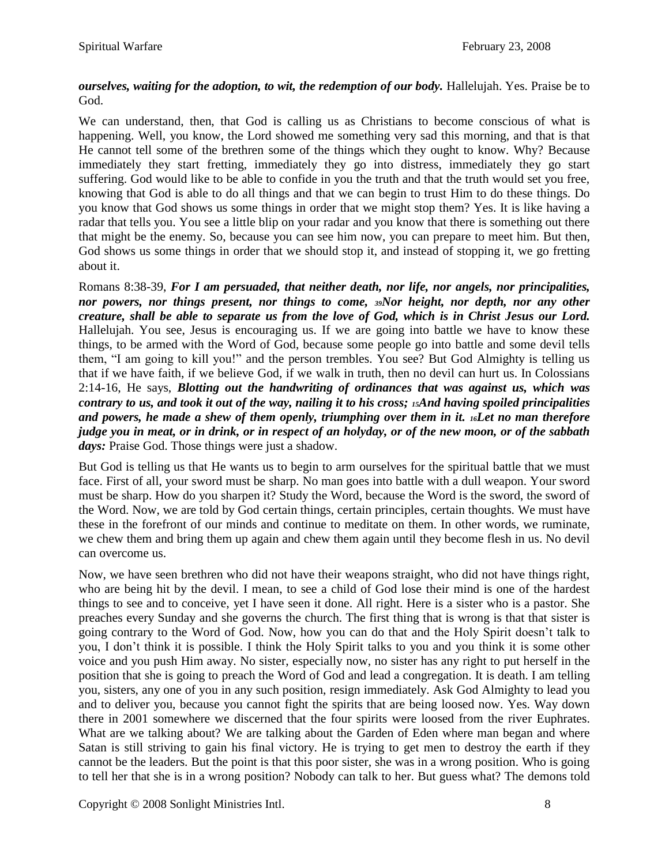## *ourselves, waiting for the adoption, to wit, the redemption of our body.* Hallelujah. Yes. Praise be to God.

We can understand, then, that God is calling us as Christians to become conscious of what is happening. Well, you know, the Lord showed me something very sad this morning, and that is that He cannot tell some of the brethren some of the things which they ought to know. Why? Because immediately they start fretting, immediately they go into distress, immediately they go start suffering. God would like to be able to confide in you the truth and that the truth would set you free, knowing that God is able to do all things and that we can begin to trust Him to do these things. Do you know that God shows us some things in order that we might stop them? Yes. It is like having a radar that tells you. You see a little blip on your radar and you know that there is something out there that might be the enemy. So, because you can see him now, you can prepare to meet him. But then, God shows us some things in order that we should stop it, and instead of stopping it, we go fretting about it.

Romans 8:38-39, *For I am persuaded, that neither death, nor life, nor angels, nor principalities, nor powers, nor things present, nor things to come, 39Nor height, nor depth, nor any other creature, shall be able to separate us from the love of God, which is in Christ Jesus our Lord.*  Hallelujah. You see, Jesus is encouraging us. If we are going into battle we have to know these things, to be armed with the Word of God, because some people go into battle and some devil tells them, "I am going to kill you!" and the person trembles. You see? But God Almighty is telling us that if we have faith, if we believe God, if we walk in truth, then no devil can hurt us. In Colossians 2:14-16, He says, *Blotting out the handwriting of ordinances that was against us, which was contrary to us, and took it out of the way, nailing it to his cross; 15And having spoiled principalities and powers, he made a shew of them openly, triumphing over them in it. 16Let no man therefore judge you in meat, or in drink, or in respect of an holyday, or of the new moon, or of the sabbath days:* Praise God. Those things were just a shadow.

But God is telling us that He wants us to begin to arm ourselves for the spiritual battle that we must face. First of all, your sword must be sharp. No man goes into battle with a dull weapon. Your sword must be sharp. How do you sharpen it? Study the Word, because the Word is the sword, the sword of the Word. Now, we are told by God certain things, certain principles, certain thoughts. We must have these in the forefront of our minds and continue to meditate on them. In other words, we ruminate, we chew them and bring them up again and chew them again until they become flesh in us. No devil can overcome us.

Now, we have seen brethren who did not have their weapons straight, who did not have things right, who are being hit by the devil. I mean, to see a child of God lose their mind is one of the hardest things to see and to conceive, yet I have seen it done. All right. Here is a sister who is a pastor. She preaches every Sunday and she governs the church. The first thing that is wrong is that that sister is going contrary to the Word of God. Now, how you can do that and the Holy Spirit doesn't talk to you, I don't think it is possible. I think the Holy Spirit talks to you and you think it is some other voice and you push Him away. No sister, especially now, no sister has any right to put herself in the position that she is going to preach the Word of God and lead a congregation. It is death. I am telling you, sisters, any one of you in any such position, resign immediately. Ask God Almighty to lead you and to deliver you, because you cannot fight the spirits that are being loosed now. Yes. Way down there in 2001 somewhere we discerned that the four spirits were loosed from the river Euphrates. What are we talking about? We are talking about the Garden of Eden where man began and where Satan is still striving to gain his final victory. He is trying to get men to destroy the earth if they cannot be the leaders. But the point is that this poor sister, she was in a wrong position. Who is going to tell her that she is in a wrong position? Nobody can talk to her. But guess what? The demons told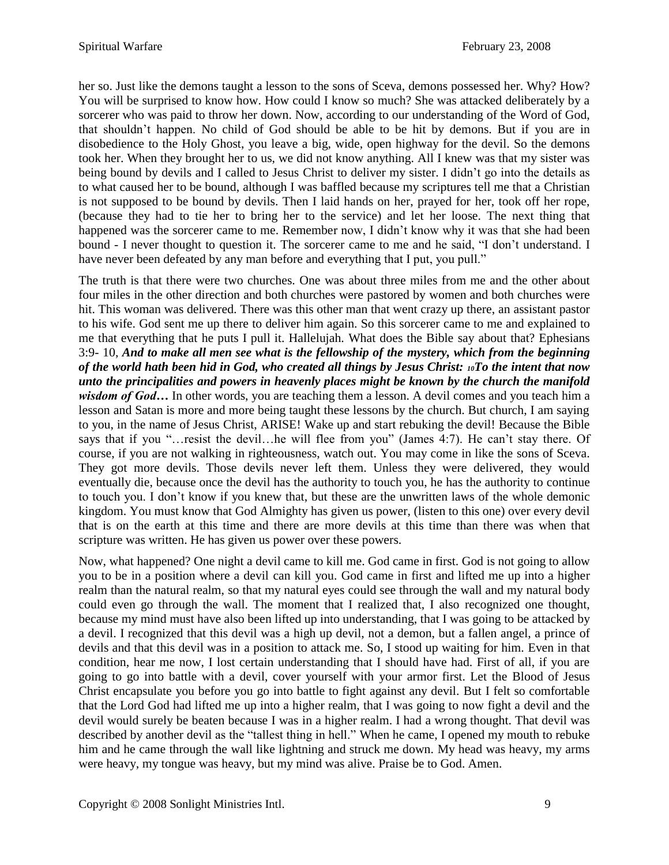her so. Just like the demons taught a lesson to the sons of Sceva, demons possessed her. Why? How? You will be surprised to know how. How could I know so much? She was attacked deliberately by a sorcerer who was paid to throw her down. Now, according to our understanding of the Word of God, that shouldn't happen. No child of God should be able to be hit by demons. But if you are in disobedience to the Holy Ghost, you leave a big, wide, open highway for the devil. So the demons took her. When they brought her to us, we did not know anything. All I knew was that my sister was being bound by devils and I called to Jesus Christ to deliver my sister. I didn't go into the details as to what caused her to be bound, although I was baffled because my scriptures tell me that a Christian is not supposed to be bound by devils. Then I laid hands on her, prayed for her, took off her rope, (because they had to tie her to bring her to the service) and let her loose. The next thing that happened was the sorcerer came to me. Remember now, I didn't know why it was that she had been bound - I never thought to question it. The sorcerer came to me and he said, "I don't understand. I have never been defeated by any man before and everything that I put, you pull."

The truth is that there were two churches. One was about three miles from me and the other about four miles in the other direction and both churches were pastored by women and both churches were hit. This woman was delivered. There was this other man that went crazy up there, an assistant pastor to his wife. God sent me up there to deliver him again. So this sorcerer came to me and explained to me that everything that he puts I pull it. Hallelujah. What does the Bible say about that? Ephesians 3:9- 10, *And to make all men see what is the fellowship of the mystery, which from the beginning of the world hath been hid in God, who created all things by Jesus Christ: 10To the intent that now unto the principalities and powers in heavenly places might be known by the church the manifold wisdom of God...* In other words, you are teaching them a lesson. A devil comes and you teach him a lesson and Satan is more and more being taught these lessons by the church. But church, I am saying to you, in the name of Jesus Christ, ARISE! Wake up and start rebuking the devil! Because the Bible says that if you "…resist the devil…he will flee from you" (James 4:7). He can't stay there. Of course, if you are not walking in righteousness, watch out. You may come in like the sons of Sceva. They got more devils. Those devils never left them. Unless they were delivered, they would eventually die, because once the devil has the authority to touch you, he has the authority to continue to touch you. I don't know if you knew that, but these are the unwritten laws of the whole demonic kingdom. You must know that God Almighty has given us power, (listen to this one) over every devil that is on the earth at this time and there are more devils at this time than there was when that scripture was written. He has given us power over these powers.

Now, what happened? One night a devil came to kill me. God came in first. God is not going to allow you to be in a position where a devil can kill you. God came in first and lifted me up into a higher realm than the natural realm, so that my natural eyes could see through the wall and my natural body could even go through the wall. The moment that I realized that, I also recognized one thought, because my mind must have also been lifted up into understanding, that I was going to be attacked by a devil. I recognized that this devil was a high up devil, not a demon, but a fallen angel, a prince of devils and that this devil was in a position to attack me. So, I stood up waiting for him. Even in that condition, hear me now, I lost certain understanding that I should have had. First of all, if you are going to go into battle with a devil, cover yourself with your armor first. Let the Blood of Jesus Christ encapsulate you before you go into battle to fight against any devil. But I felt so comfortable that the Lord God had lifted me up into a higher realm, that I was going to now fight a devil and the devil would surely be beaten because I was in a higher realm. I had a wrong thought. That devil was described by another devil as the "tallest thing in hell." When he came, I opened my mouth to rebuke him and he came through the wall like lightning and struck me down. My head was heavy, my arms were heavy, my tongue was heavy, but my mind was alive. Praise be to God. Amen.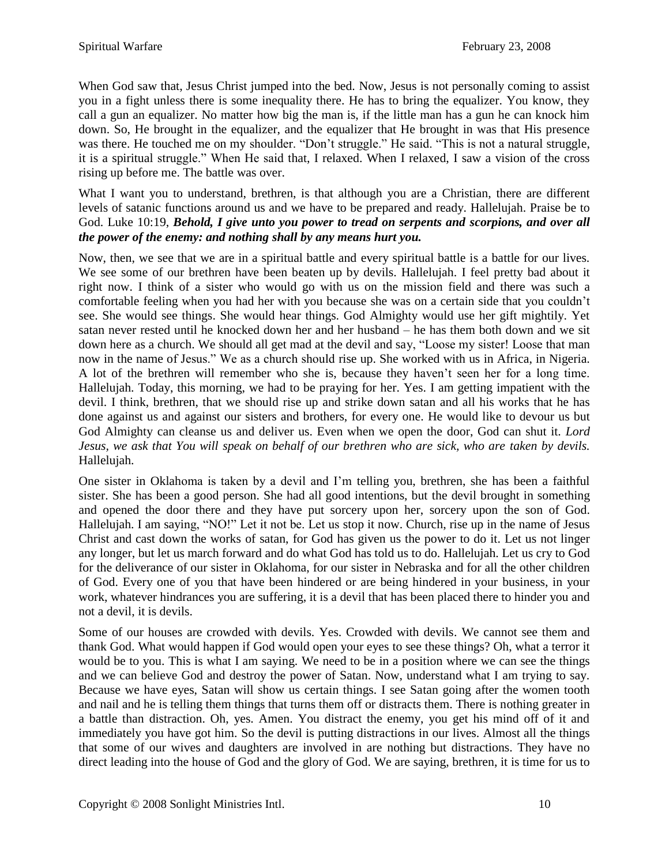When God saw that, Jesus Christ jumped into the bed. Now, Jesus is not personally coming to assist you in a fight unless there is some inequality there. He has to bring the equalizer. You know, they call a gun an equalizer. No matter how big the man is, if the little man has a gun he can knock him down. So, He brought in the equalizer, and the equalizer that He brought in was that His presence was there. He touched me on my shoulder. "Don't struggle." He said. "This is not a natural struggle, it is a spiritual struggle." When He said that, I relaxed. When I relaxed, I saw a vision of the cross rising up before me. The battle was over.

What I want you to understand, brethren, is that although you are a Christian, there are different levels of satanic functions around us and we have to be prepared and ready. Hallelujah. Praise be to God. Luke 10:19, *Behold, I give unto you power to tread on serpents and scorpions, and over all the power of the enemy: and nothing shall by any means hurt you.*

Now, then, we see that we are in a spiritual battle and every spiritual battle is a battle for our lives. We see some of our brethren have been beaten up by devils. Hallelujah. I feel pretty bad about it right now. I think of a sister who would go with us on the mission field and there was such a comfortable feeling when you had her with you because she was on a certain side that you couldn't see. She would see things. She would hear things. God Almighty would use her gift mightily. Yet satan never rested until he knocked down her and her husband – he has them both down and we sit down here as a church. We should all get mad at the devil and say, "Loose my sister! Loose that man now in the name of Jesus." We as a church should rise up. She worked with us in Africa, in Nigeria. A lot of the brethren will remember who she is, because they haven't seen her for a long time. Hallelujah. Today, this morning, we had to be praying for her. Yes. I am getting impatient with the devil. I think, brethren, that we should rise up and strike down satan and all his works that he has done against us and against our sisters and brothers, for every one. He would like to devour us but God Almighty can cleanse us and deliver us. Even when we open the door, God can shut it. *Lord Jesus, we ask that You will speak on behalf of our brethren who are sick, who are taken by devils.*  Hallelujah.

One sister in Oklahoma is taken by a devil and I'm telling you, brethren, she has been a faithful sister. She has been a good person. She had all good intentions, but the devil brought in something and opened the door there and they have put sorcery upon her, sorcery upon the son of God. Hallelujah. I am saying, "NO!" Let it not be. Let us stop it now. Church, rise up in the name of Jesus Christ and cast down the works of satan, for God has given us the power to do it. Let us not linger any longer, but let us march forward and do what God has told us to do. Hallelujah. Let us cry to God for the deliverance of our sister in Oklahoma, for our sister in Nebraska and for all the other children of God. Every one of you that have been hindered or are being hindered in your business, in your work, whatever hindrances you are suffering, it is a devil that has been placed there to hinder you and not a devil, it is devils.

Some of our houses are crowded with devils. Yes. Crowded with devils. We cannot see them and thank God. What would happen if God would open your eyes to see these things? Oh, what a terror it would be to you. This is what I am saying. We need to be in a position where we can see the things and we can believe God and destroy the power of Satan. Now, understand what I am trying to say. Because we have eyes, Satan will show us certain things. I see Satan going after the women tooth and nail and he is telling them things that turns them off or distracts them. There is nothing greater in a battle than distraction. Oh, yes. Amen. You distract the enemy, you get his mind off of it and immediately you have got him. So the devil is putting distractions in our lives. Almost all the things that some of our wives and daughters are involved in are nothing but distractions. They have no direct leading into the house of God and the glory of God. We are saying, brethren, it is time for us to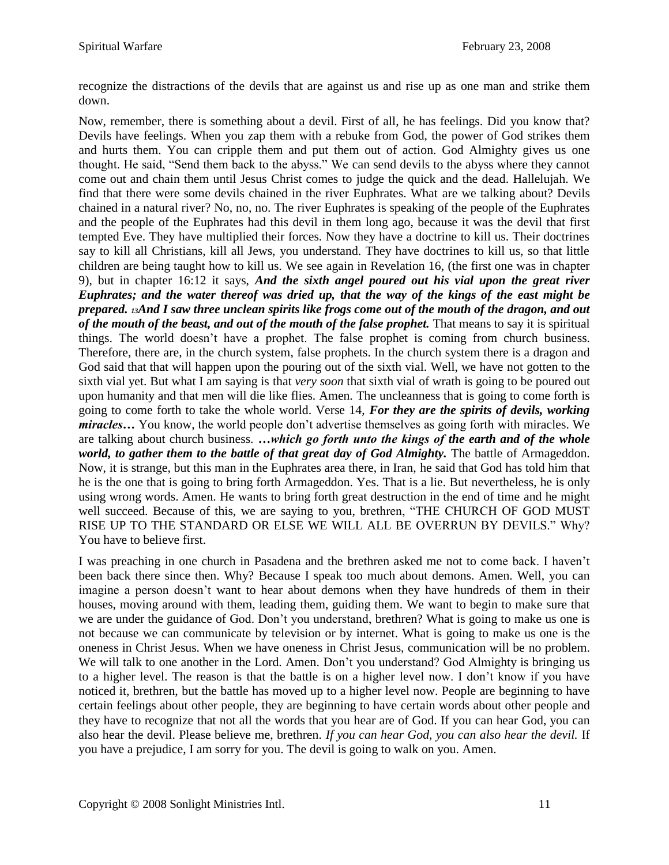recognize the distractions of the devils that are against us and rise up as one man and strike them down.

Now, remember, there is something about a devil. First of all, he has feelings. Did you know that? Devils have feelings. When you zap them with a rebuke from God, the power of God strikes them and hurts them. You can cripple them and put them out of action. God Almighty gives us one thought. He said, "Send them back to the abyss." We can send devils to the abyss where they cannot come out and chain them until Jesus Christ comes to judge the quick and the dead. Hallelujah. We find that there were some devils chained in the river Euphrates. What are we talking about? Devils chained in a natural river? No, no, no. The river Euphrates is speaking of the people of the Euphrates and the people of the Euphrates had this devil in them long ago, because it was the devil that first tempted Eve. They have multiplied their forces. Now they have a doctrine to kill us. Their doctrines say to kill all Christians, kill all Jews, you understand. They have doctrines to kill us, so that little children are being taught how to kill us. We see again in Revelation 16, (the first one was in chapter 9), but in chapter 16:12 it says, *And the sixth angel poured out his vial upon the great river Euphrates; and the water thereof was dried up, that the way of the kings of the east might be prepared. <sup>13</sup>And I saw three unclean spirits like frogs come out of the mouth of the dragon, and out of the mouth of the beast, and out of the mouth of the false prophet.* That means to say it is spiritual things. The world doesn't have a prophet. The false prophet is coming from church business. Therefore, there are, in the church system, false prophets. In the church system there is a dragon and God said that that will happen upon the pouring out of the sixth vial. Well, we have not gotten to the sixth vial yet. But what I am saying is that *very soon* that sixth vial of wrath is going to be poured out upon humanity and that men will die like flies. Amen. The uncleanness that is going to come forth is going to come forth to take the whole world. Verse 14, *For they are the spirits of devils, working miracles…* You know, the world people don't advertise themselves as going forth with miracles. We are talking about church business. *…which go forth unto the kings of the earth and of the whole world, to gather them to the battle of that great day of God Almighty.* The battle of Armageddon. Now, it is strange, but this man in the Euphrates area there, in Iran, he said that God has told him that he is the one that is going to bring forth Armageddon. Yes. That is a lie. But nevertheless, he is only using wrong words. Amen. He wants to bring forth great destruction in the end of time and he might well succeed. Because of this, we are saying to you, brethren, "THE CHURCH OF GOD MUST RISE UP TO THE STANDARD OR ELSE WE WILL ALL BE OVERRUN BY DEVILS." Why? You have to believe first.

I was preaching in one church in Pasadena and the brethren asked me not to come back. I haven't been back there since then. Why? Because I speak too much about demons. Amen. Well, you can imagine a person doesn't want to hear about demons when they have hundreds of them in their houses, moving around with them, leading them, guiding them. We want to begin to make sure that we are under the guidance of God. Don't you understand, brethren? What is going to make us one is not because we can communicate by television or by internet. What is going to make us one is the oneness in Christ Jesus. When we have oneness in Christ Jesus, communication will be no problem. We will talk to one another in the Lord. Amen. Don't you understand? God Almighty is bringing us to a higher level. The reason is that the battle is on a higher level now. I don't know if you have noticed it, brethren, but the battle has moved up to a higher level now. People are beginning to have certain feelings about other people, they are beginning to have certain words about other people and they have to recognize that not all the words that you hear are of God. If you can hear God, you can also hear the devil. Please believe me, brethren. *If you can hear God, you can also hear the devil.* If you have a prejudice, I am sorry for you. The devil is going to walk on you. Amen.